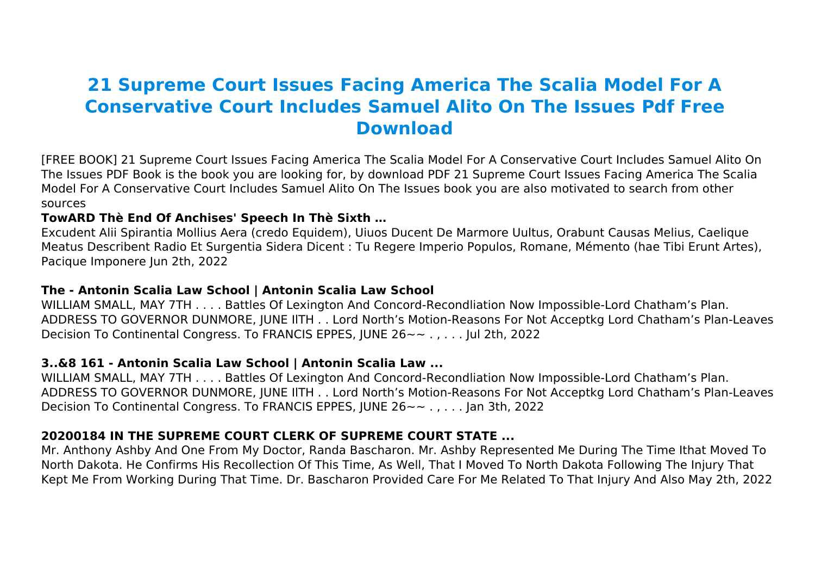# **21 Supreme Court Issues Facing America The Scalia Model For A Conservative Court Includes Samuel Alito On The Issues Pdf Free Download**

[FREE BOOK] 21 Supreme Court Issues Facing America The Scalia Model For A Conservative Court Includes Samuel Alito On The Issues PDF Book is the book you are looking for, by download PDF 21 Supreme Court Issues Facing America The Scalia Model For A Conservative Court Includes Samuel Alito On The Issues book you are also motivated to search from other sources

#### **TowARD Thè End Of Anchises' Speech In Thè Sixth …**

Excudent Alii Spirantia Mollius Aera (credo Equidem), Uiuos Ducent De Marmore Uultus, Orabunt Causas Melius, Caelique Meatus Describent Radio Et Surgentia Sidera Dicent : Tu Regere Imperio Populos, Romane, Mémento (hae Tibi Erunt Artes), Pacique Imponere Jun 2th, 2022

#### **The - Antonin Scalia Law School | Antonin Scalia Law School**

WILLIAM SMALL, MAY 7TH . . . . Battles Of Lexington And Concord-Recondliation Now Impossible-Lord Chatham's Plan. ADDRESS TO GOVERNOR DUNMORE, JUNE IlTH . . Lord North's Motion-Reasons For Not Acceptkg Lord Chatham's Plan-Leaves Decision To Continental Congress. To FRANCIS EPPES, JUNE 26~~ . , . . . Jul 2th, 2022

# **3..&8 161 - Antonin Scalia Law School | Antonin Scalia Law ...**

WILLIAM SMALL, MAY 7TH . . . . Battles Of Lexington And Concord-Recondliation Now Impossible-Lord Chatham's Plan. ADDRESS TO GOVERNOR DUNMORE, JUNE IlTH . . Lord North's Motion-Reasons For Not Acceptkg Lord Chatham's Plan-Leaves Decision To Continental Congress. To FRANCIS EPPES, JUNE 26~~ . , . . . Jan 3th, 2022

# **20200184 IN THE SUPREME COURT CLERK OF SUPREME COURT STATE ...**

Mr. Anthony Ashby And One From My Doctor, Randa Bascharon. Mr. Ashby Represented Me During The Time Ithat Moved To North Dakota. He Confirms His Recollection Of This Time, As Well, That I Moved To North Dakota Following The Injury That Kept Me From Working During That Time. Dr. Bascharon Provided Care For Me Related To That Injury And Also May 2th, 2022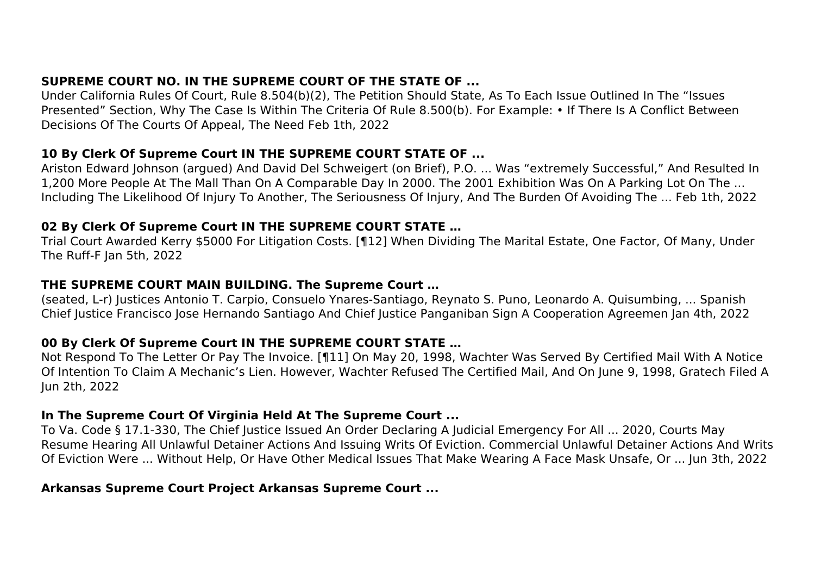# **SUPREME COURT NO. IN THE SUPREME COURT OF THE STATE OF ...**

Under California Rules Of Court, Rule 8.504(b)(2), The Petition Should State, As To Each Issue Outlined In The "Issues Presented" Section, Why The Case Is Within The Criteria Of Rule 8.500(b). For Example: • If There Is A Conflict Between Decisions Of The Courts Of Appeal, The Need Feb 1th, 2022

#### **10 By Clerk Of Supreme Court IN THE SUPREME COURT STATE OF ...**

Ariston Edward Johnson (argued) And David Del Schweigert (on Brief), P.O. ... Was "extremely Successful," And Resulted In 1,200 More People At The Mall Than On A Comparable Day In 2000. The 2001 Exhibition Was On A Parking Lot On The ... Including The Likelihood Of Injury To Another, The Seriousness Of Injury, And The Burden Of Avoiding The ... Feb 1th, 2022

# **02 By Clerk Of Supreme Court IN THE SUPREME COURT STATE …**

Trial Court Awarded Kerry \$5000 For Litigation Costs. [¶12] When Dividing The Marital Estate, One Factor, Of Many, Under The Ruff-F Jan 5th, 2022

# **THE SUPREME COURT MAIN BUILDING. The Supreme Court …**

(seated, L-r) Justices Antonio T. Carpio, Consuelo Ynares-Santiago, Reynato S. Puno, Leonardo A. Quisumbing, ... Spanish Chief Justice Francisco Jose Hernando Santiago And Chief Justice Panganiban Sign A Cooperation Agreemen Jan 4th, 2022

# **00 By Clerk Of Supreme Court IN THE SUPREME COURT STATE …**

Not Respond To The Letter Or Pay The Invoice. [¶11] On May 20, 1998, Wachter Was Served By Certified Mail With A Notice Of Intention To Claim A Mechanic's Lien. However, Wachter Refused The Certified Mail, And On June 9, 1998, Gratech Filed A Jun 2th, 2022

# **In The Supreme Court Of Virginia Held At The Supreme Court ...**

To Va. Code § 17.1-330, The Chief Justice Issued An Order Declaring A Judicial Emergency For All ... 2020, Courts May Resume Hearing All Unlawful Detainer Actions And Issuing Writs Of Eviction. Commercial Unlawful Detainer Actions And Writs Of Eviction Were ... Without Help, Or Have Other Medical Issues That Make Wearing A Face Mask Unsafe, Or ... Jun 3th, 2022

# **Arkansas Supreme Court Project Arkansas Supreme Court ...**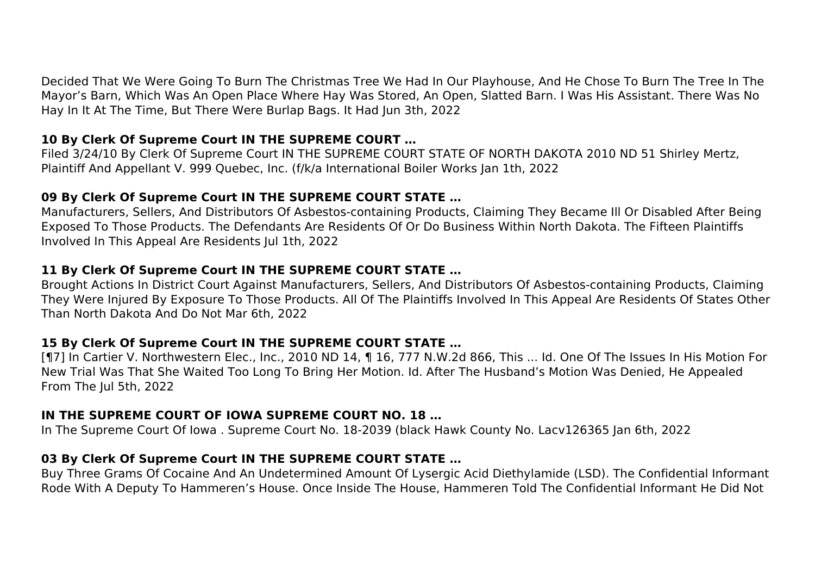Decided That We Were Going To Burn The Christmas Tree We Had In Our Playhouse, And He Chose To Burn The Tree In The Mayor's Barn, Which Was An Open Place Where Hay Was Stored, An Open, Slatted Barn. I Was His Assistant. There Was No Hay In It At The Time, But There Were Burlap Bags. It Had Jun 3th, 2022

# **10 By Clerk Of Supreme Court IN THE SUPREME COURT …**

Filed 3/24/10 By Clerk Of Supreme Court IN THE SUPREME COURT STATE OF NORTH DAKOTA 2010 ND 51 Shirley Mertz, Plaintiff And Appellant V. 999 Quebec, Inc. (f/k/a International Boiler Works Jan 1th, 2022

#### **09 By Clerk Of Supreme Court IN THE SUPREME COURT STATE …**

Manufacturers, Sellers, And Distributors Of Asbestos-containing Products, Claiming They Became Ill Or Disabled After Being Exposed To Those Products. The Defendants Are Residents Of Or Do Business Within North Dakota. The Fifteen Plaintiffs Involved In This Appeal Are Residents Jul 1th, 2022

#### **11 By Clerk Of Supreme Court IN THE SUPREME COURT STATE …**

Brought Actions In District Court Against Manufacturers, Sellers, And Distributors Of Asbestos-containing Products, Claiming They Were Injured By Exposure To Those Products. All Of The Plaintiffs Involved In This Appeal Are Residents Of States Other Than North Dakota And Do Not Mar 6th, 2022

# **15 By Clerk Of Supreme Court IN THE SUPREME COURT STATE …**

[¶7] In Cartier V. Northwestern Elec., Inc., 2010 ND 14, ¶ 16, 777 N.W.2d 866, This ... Id. One Of The Issues In His Motion For New Trial Was That She Waited Too Long To Bring Her Motion. Id. After The Husband's Motion Was Denied, He Appealed From The Jul 5th, 2022

# **IN THE SUPREME COURT OF IOWA SUPREME COURT NO. 18 …**

In The Supreme Court Of Iowa . Supreme Court No. 18-2039 (black Hawk County No. Lacv126365 Jan 6th, 2022

# **03 By Clerk Of Supreme Court IN THE SUPREME COURT STATE …**

Buy Three Grams Of Cocaine And An Undetermined Amount Of Lysergic Acid Diethylamide (LSD). The Confidential Informant Rode With A Deputy To Hammeren's House. Once Inside The House, Hammeren Told The Confidential Informant He Did Not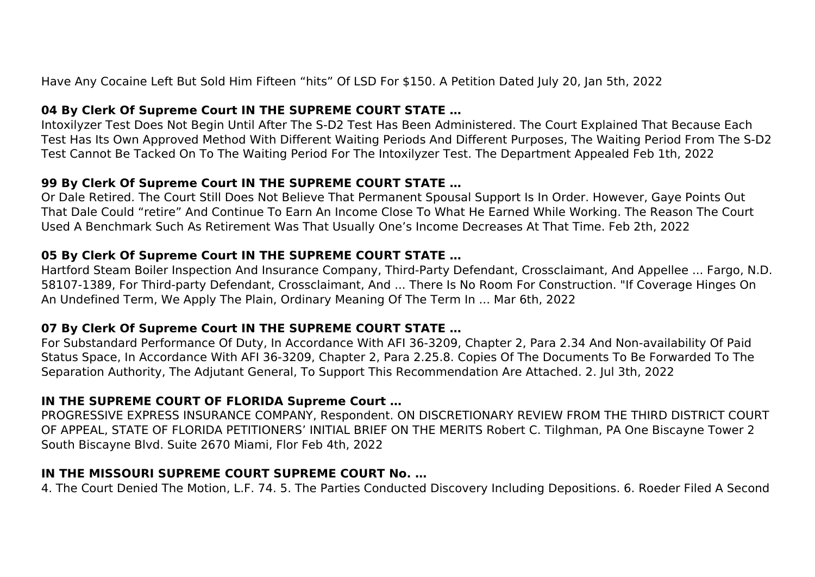Have Any Cocaine Left But Sold Him Fifteen "hits" Of LSD For \$150. A Petition Dated July 20, Jan 5th, 2022

# **04 By Clerk Of Supreme Court IN THE SUPREME COURT STATE …**

Intoxilyzer Test Does Not Begin Until After The S-D2 Test Has Been Administered. The Court Explained That Because Each Test Has Its Own Approved Method With Different Waiting Periods And Different Purposes, The Waiting Period From The S-D2 Test Cannot Be Tacked On To The Waiting Period For The Intoxilyzer Test. The Department Appealed Feb 1th, 2022

# **99 By Clerk Of Supreme Court IN THE SUPREME COURT STATE …**

Or Dale Retired. The Court Still Does Not Believe That Permanent Spousal Support Is In Order. However, Gaye Points Out That Dale Could "retire" And Continue To Earn An Income Close To What He Earned While Working. The Reason The Court Used A Benchmark Such As Retirement Was That Usually One's Income Decreases At That Time. Feb 2th, 2022

# **05 By Clerk Of Supreme Court IN THE SUPREME COURT STATE …**

Hartford Steam Boiler Inspection And Insurance Company, Third-Party Defendant, Crossclaimant, And Appellee ... Fargo, N.D. 58107-1389, For Third-party Defendant, Crossclaimant, And ... There Is No Room For Construction. "If Coverage Hinges On An Undefined Term, We Apply The Plain, Ordinary Meaning Of The Term In ... Mar 6th, 2022

# **07 By Clerk Of Supreme Court IN THE SUPREME COURT STATE …**

For Substandard Performance Of Duty, In Accordance With AFI 36-3209, Chapter 2, Para 2.34 And Non-availability Of Paid Status Space, In Accordance With AFI 36-3209, Chapter 2, Para 2.25.8. Copies Of The Documents To Be Forwarded To The Separation Authority, The Adjutant General, To Support This Recommendation Are Attached. 2. Jul 3th, 2022

# **IN THE SUPREME COURT OF FLORIDA Supreme Court …**

PROGRESSIVE EXPRESS INSURANCE COMPANY, Respondent. ON DISCRETIONARY REVIEW FROM THE THIRD DISTRICT COURT OF APPEAL, STATE OF FLORIDA PETITIONERS' INITIAL BRIEF ON THE MERITS Robert C. Tilghman, PA One Biscayne Tower 2 South Biscayne Blvd. Suite 2670 Miami, Flor Feb 4th, 2022

# **IN THE MISSOURI SUPREME COURT SUPREME COURT No. …**

4. The Court Denied The Motion, L.F. 74. 5. The Parties Conducted Discovery Including Depositions. 6. Roeder Filed A Second